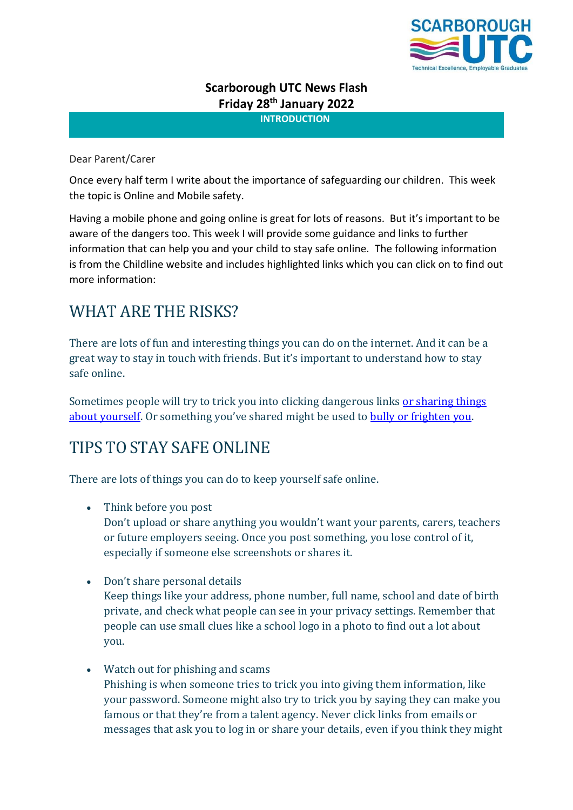

## **Scarborough UTC News Flash Friday 28 th January 2022**

**INTRODUCTION**

## Dear Parent/Carer

Once every half term I write about the importance of safeguarding our children. This week the topic is Online and Mobile safety.

Having a mobile phone and going online is great for lots of reasons. But it's important to be aware of the dangers too. This week I will provide some guidance and links to further information that can help you and your child to stay safe online. The following information is from the Childline website and includes highlighted links which you can click on to find out more information:

# WHAT ARE THE RISKS?

There are lots of fun and interesting things you can do on the internet. And it can be a great way to stay in touch with friends. But it's important to understand how to stay safe online.

Sometimes people will try to trick you into clicking dangerous links or sharing things [about yourself](https://www.childline.org.uk/info-advice/bullying-abuse-safety/online-mobile-safety/online-grooming/). Or something you've shared might be used to [bully or frighten you.](https://www.childline.org.uk/info-advice/bullying-abuse-safety/types-bullying/bullying-cyberbullying/)

## TIPS TO STAY SAFE ONLINE

There are lots of things you can do to keep yourself safe online.

• Think before you post

Don't upload or share anything you wouldn't want your parents, carers, teachers or future employers seeing. Once you post something, you lose control of it, especially if someone else screenshots or shares it.

- Don't share personal details Keep things like your address, phone number, full name, school and date of birth private, and check what people can see in your privacy settings. Remember that people can use small clues like a school logo in a photo to find out a lot about you.
- Watch out for phishing and scams Phishing is when someone tries to trick you into giving them information, like your password. Someone might also try to trick you by saying they can make you famous or that they're from a talent agency. Never click links from emails or messages that ask you to log in or share your details, even if you think they might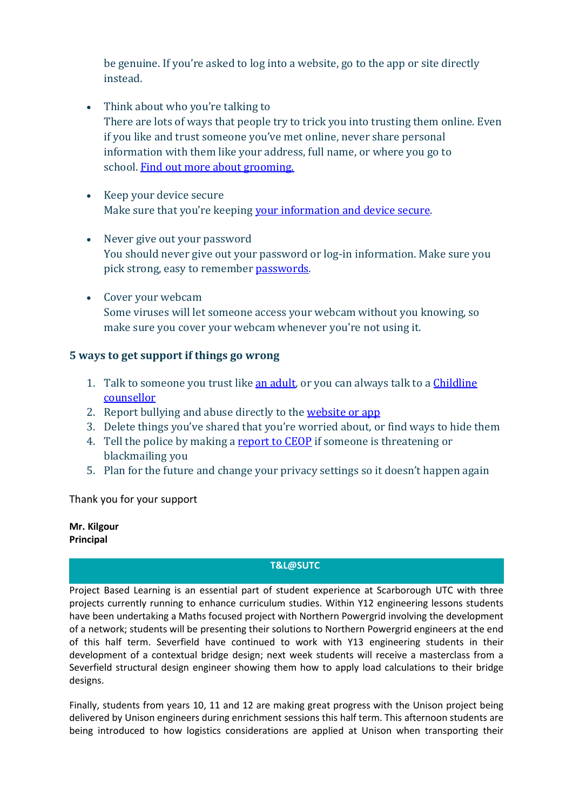be genuine. If you're asked to log into a website, go to the app or site directly instead.

- Think about who you're talking to There are lots of ways that people try to trick you into trusting them online. Even if you like and trust someone you've met online, never share personal information with them like your address, full name, or where you go to school. [Find out more about grooming.](https://www.childline.org.uk/info-advice/bullying-abuse-safety/online-mobile-safety/online-grooming/)
- Keep your device secure Make sure that you're keeping [your information and device secure.](https://www.childline.org.uk/info-advice/bullying-abuse-safety/online-mobile-safety/staying-safe-online/#3)
- Never give out your password You should never give out your password or log-in information. Make sure you pick strong, easy to remember [passwords.](https://www.childline.org.uk/info-advice/bullying-abuse-safety/online-mobile-safety/staying-safe-online/#3)
- Cover your webcam Some viruses will let someone access your webcam without you knowing, so make sure you cover your webcam whenever you're not using it.

## **5 ways to get support if things go wrong**

- 1. Talk to someone you trust like [an adult,](https://www.childline.org.uk/info-advice/bullying-abuse-safety/getting-help/asking-adult-help/) or you can always talk to a *Childline* [counsellor](https://www.childline.org.uk/get-support/)
- 2. Report bullying and abuse directly to the [website or app](https://www.childline.org.uk/info-advice/bullying-abuse-safety/types-bullying/bullying-social-media/)
- 3. Delete things you've shared that you're worried about, or find ways to hide them
- 4. Tell the police by making a [report to CEOP](https://www.ceop.police.uk/ceop-reporting/) if someone is threatening or blackmailing you
- 5. Plan for the future and change your privacy settings so it doesn't happen again

Thank you for your support

**Mr. Kilgour Principal**

### **T&L@SUTC**

Project Based Learning is an essential part of student experience at Scarborough UTC with three projects currently running to enhance curriculum studies. Within Y12 engineering lessons students have been undertaking a Maths focused project with Northern Powergrid involving the development of a network; students will be presenting their solutions to Northern Powergrid engineers at the end of this half term. Severfield have continued to work with Y13 engineering students in their development of a contextual bridge design; next week students will receive a masterclass from a Severfield structural design engineer showing them how to apply load calculations to their bridge designs.

Finally, students from years 10, 11 and 12 are making great progress with the Unison project being delivered by Unison engineers during enrichment sessions this half term. This afternoon students are being introduced to how logistics considerations are applied at Unison when transporting their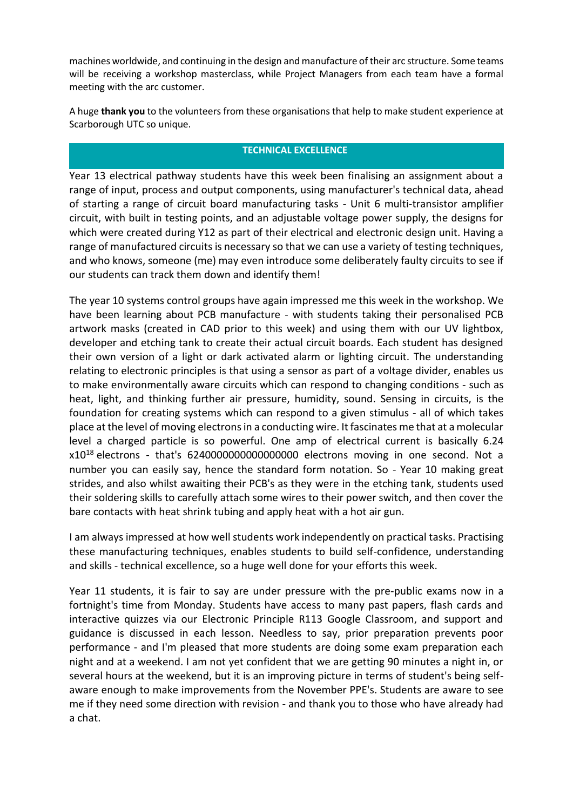machines worldwide, and continuing in the design and manufacture of their arc structure. Some teams will be receiving a workshop masterclass, while Project Managers from each team have a formal meeting with the arc customer.

A huge **thank you** to the volunteers from these organisations that help to make student experience at Scarborough UTC so unique.

#### **TECHNICAL EXCELLENCE**

Year 13 electrical pathway students have this week been finalising an assignment about a range of input, process and output components, using manufacturer's technical data, ahead of starting a range of circuit board manufacturing tasks - Unit 6 multi-transistor amplifier circuit, with built in testing points, and an adjustable voltage power supply, the designs for which were created during Y12 as part of their electrical and electronic design unit. Having a range of manufactured circuits is necessary so that we can use a variety of testing techniques, and who knows, someone (me) may even introduce some deliberately faulty circuits to see if our students can track them down and identify them!

The year 10 systems control groups have again impressed me this week in the workshop. We have been learning about PCB manufacture - with students taking their personalised PCB artwork masks (created in CAD prior to this week) and using them with our UV lightbox, developer and etching tank to create their actual circuit boards. Each student has designed their own version of a light or dark activated alarm or lighting circuit. The understanding relating to electronic principles is that using a sensor as part of a voltage divider, enables us to make environmentally aware circuits which can respond to changing conditions - such as heat, light, and thinking further air pressure, humidity, sound. Sensing in circuits, is the foundation for creating systems which can respond to a given stimulus - all of which takes place at the level of moving electrons in a conducting wire. It fascinates me that at a molecular level a charged particle is so powerful. One amp of electrical current is basically 6.24  $x10^{18}$  electrons - that's 624000000000000000000 electrons moving in one second. Not a number you can easily say, hence the standard form notation. So - Year 10 making great strides, and also whilst awaiting their PCB's as they were in the etching tank, students used their soldering skills to carefully attach some wires to their power switch, and then cover the bare contacts with heat shrink tubing and apply heat with a hot air gun.

I am always impressed at how well students work independently on practical tasks. Practising these manufacturing techniques, enables students to build self-confidence, understanding and skills - technical excellence, so a huge well done for your efforts this week.

Year 11 students, it is fair to say are under pressure with the pre-public exams now in a fortnight's time from Monday. Students have access to many past papers, flash cards and interactive quizzes via our Electronic Principle R113 Google Classroom, and support and guidance is discussed in each lesson. Needless to say, prior preparation prevents poor performance - and I'm pleased that more students are doing some exam preparation each night and at a weekend. I am not yet confident that we are getting 90 minutes a night in, or several hours at the weekend, but it is an improving picture in terms of student's being selfaware enough to make improvements from the November PPE's. Students are aware to see me if they need some direction with revision - and thank you to those who have already had a chat.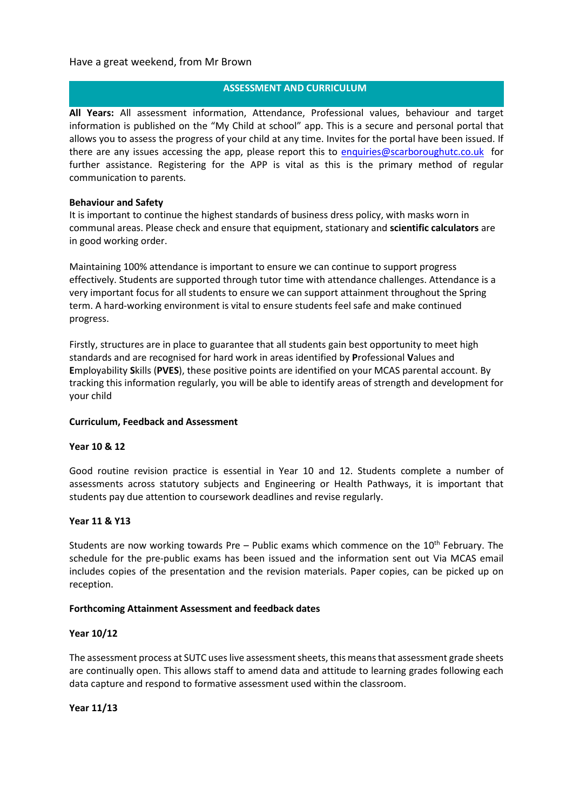#### Have a great weekend, from Mr Brown

#### **ASSESSMENT AND CURRICULUM**

**All Years:** All assessment information, Attendance, Professional values, behaviour and target information is published on the "My Child at school" app. This is a secure and personal portal that allows you to assess the progress of your child at any time. Invites for the portal have been issued. If there are any issues accessing the app, please report this to [enquiries@scarboroughutc.co.uk](mailto:enquiries@scarboroughutc.co.uk) for further assistance. Registering for the APP is vital as this is the primary method of regular communication to parents.

#### **Behaviour and Safety**

It is important to continue the highest standards of business dress policy, with masks worn in communal areas. Please check and ensure that equipment, stationary and **scientific calculators** are in good working order.

Maintaining 100% attendance is important to ensure we can continue to support progress effectively. Students are supported through tutor time with attendance challenges. Attendance is a very important focus for all students to ensure we can support attainment throughout the Spring term. A hard-working environment is vital to ensure students feel safe and make continued progress.

Firstly, structures are in place to guarantee that all students gain best opportunity to meet high standards and are recognised for hard work in areas identified by **P**rofessional **V**alues and **E**mployability **S**kills (**PVES**), these positive points are identified on your MCAS parental account. By tracking this information regularly, you will be able to identify areas of strength and development for your child

#### **Curriculum, Feedback and Assessment**

#### **Year 10 & 12**

Good routine revision practice is essential in Year 10 and 12. Students complete a number of assessments across statutory subjects and Engineering or Health Pathways, it is important that students pay due attention to coursework deadlines and revise regularly.

#### **Year 11 & Y13**

Students are now working towards Pre – Public exams which commence on the  $10<sup>th</sup>$  February. The schedule for the pre-public exams has been issued and the information sent out Via MCAS email includes copies of the presentation and the revision materials. Paper copies, can be picked up on reception.

#### **Forthcoming Attainment Assessment and feedback dates**

#### **Year 10/12**

The assessment process at SUTC uses live assessment sheets, this means that assessment grade sheets are continually open. This allows staff to amend data and attitude to learning grades following each data capture and respond to formative assessment used within the classroom.

**Year 11/13**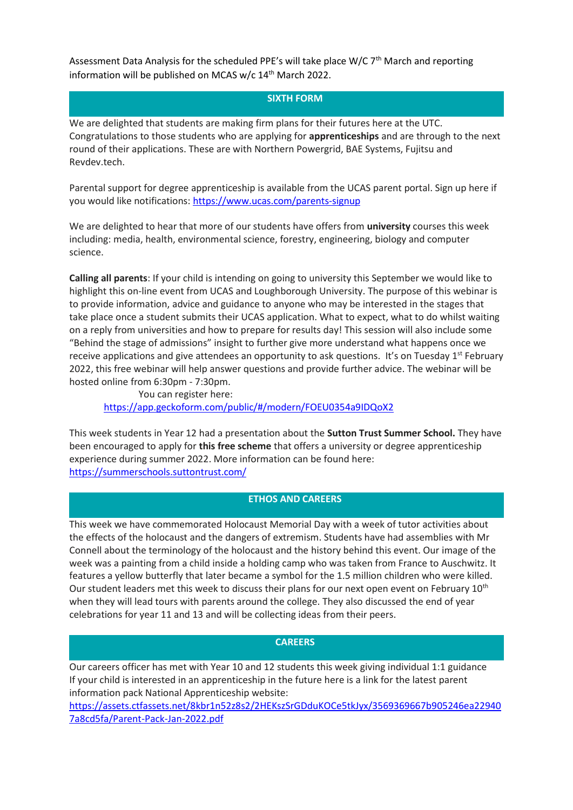Assessment Data Analysis for the scheduled PPE's will take place W/C 7<sup>th</sup> March and reporting information will be published on MCAS w/c 14<sup>th</sup> March 2022.

#### **SIXTH FORM**

We are delighted that students are making firm plans for their futures here at the UTC. Congratulations to those students who are applying for **apprenticeships** and are through to the next round of their applications. These are with Northern Powergrid, BAE Systems, Fujitsu and Revdev.tech.

Parental support for degree apprenticeship is available from the UCAS parent portal. Sign up here if you would like notifications:<https://www.ucas.com/parents-signup>

We are delighted to hear that more of our students have offers from **university** courses this week including: media, health, environmental science, forestry, engineering, biology and computer science.

**Calling all parents**: If your child is intending on going to university this September we would like to highlight this on-line event from UCAS and Loughborough University. The purpose of this webinar is to provide information, advice and guidance to anyone who may be interested in the stages that take place once a student submits their UCAS application. What to expect, what to do whilst waiting on a reply from universities and how to prepare for results day! This session will also include some "Behind the stage of admissions" insight to further give more understand what happens once we receive applications and give attendees an opportunity to ask questions. It's on Tuesday  $1<sup>st</sup>$  February 2022, this free webinar will help answer questions and provide further advice. The webinar will be hosted online from 6:30pm - 7:30pm.

You can register here: <https://app.geckoform.com/public/#/modern/FOEU0354a9IDQoX2>

This week students in Year 12 had a presentation about the **Sutton Trust Summer School.** They have been encouraged to apply for **this free scheme** that offers a university or degree apprenticeship experience during summer 2022. More information can be found here: <https://summerschools.suttontrust.com/>

#### **ETHOS AND CAREERS**

This week we have commemorated Holocaust Memorial Day with a week of tutor activities about the effects of the holocaust and the dangers of extremism. Students have had assemblies with Mr Connell about the terminology of the holocaust and the history behind this event. Our image of the week was a painting from a child inside a holding camp who was taken from France to Auschwitz. It features a yellow butterfly that later became a symbol for the 1.5 million children who were killed. Our student leaders met this week to discuss their plans for our next open event on February 10<sup>th</sup> when they will lead tours with parents around the college. They also discussed the end of year celebrations for year 11 and 13 and will be collecting ideas from their peers.

#### **CAREERS**

Our careers officer has met with Year 10 and 12 students this week giving individual 1:1 guidance If your child is interested in an apprenticeship in the future here is a link for the latest parent information pack National Apprenticeship website:

[https://assets.ctfassets.net/8kbr1n52z8s2/2HEKszSrGDduKOCe5tkJyx/3569369667b905246ea22940](https://assets.ctfassets.net/8kbr1n52z8s2/2HEKszSrGDduKOCe5tkJyx/3569369667b905246ea229407a8cd5fa/Parent-Pack-Jan-2022.pdf) [7a8cd5fa/Parent-Pack-Jan-2022.pdf](https://assets.ctfassets.net/8kbr1n52z8s2/2HEKszSrGDduKOCe5tkJyx/3569369667b905246ea229407a8cd5fa/Parent-Pack-Jan-2022.pdf)